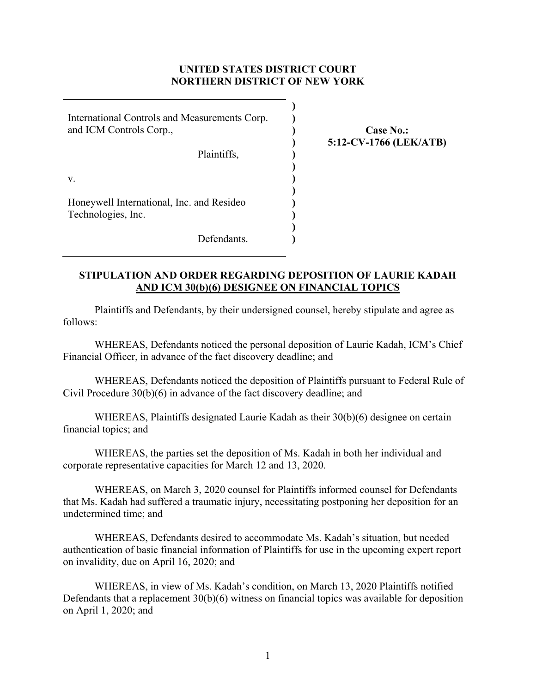## **UNITED STATES DISTRICT COURT NORTHERN DISTRICT OF NEW YORK**

**) ) ) ) ) ) ) ) ) ) ) )** 

International Controls and Measurements Corp. and ICM Controls Corp., Plaintiffs, v. Honeywell International, Inc. and Resideo

**Case No.: 5:12-CV-1766 (LEK/ATB)** 

Technologies, Inc.

Defendants.

## **STIPULATION AND ORDER REGARDING DEPOSITION OF LAURIE KADAH AND ICM 30(b)(6) DESIGNEE ON FINANCIAL TOPICS**

Plaintiffs and Defendants, by their undersigned counsel, hereby stipulate and agree as follows:

WHEREAS, Defendants noticed the personal deposition of Laurie Kadah, ICM's Chief Financial Officer, in advance of the fact discovery deadline; and

WHEREAS, Defendants noticed the deposition of Plaintiffs pursuant to Federal Rule of Civil Procedure 30(b)(6) in advance of the fact discovery deadline; and

WHEREAS, Plaintiffs designated Laurie Kadah as their 30(b)(6) designee on certain financial topics; and

WHEREAS, the parties set the deposition of Ms. Kadah in both her individual and corporate representative capacities for March 12 and 13, 2020.

WHEREAS, on March 3, 2020 counsel for Plaintiffs informed counsel for Defendants that Ms. Kadah had suffered a traumatic injury, necessitating postponing her deposition for an undetermined time; and

WHEREAS, Defendants desired to accommodate Ms. Kadah's situation, but needed authentication of basic financial information of Plaintiffs for use in the upcoming expert report on invalidity, due on April 16, 2020; and

 WHEREAS, in view of Ms. Kadah's condition, on March 13, 2020 Plaintiffs notified Defendants that a replacement 30(b)(6) witness on financial topics was available for deposition on April 1, 2020; and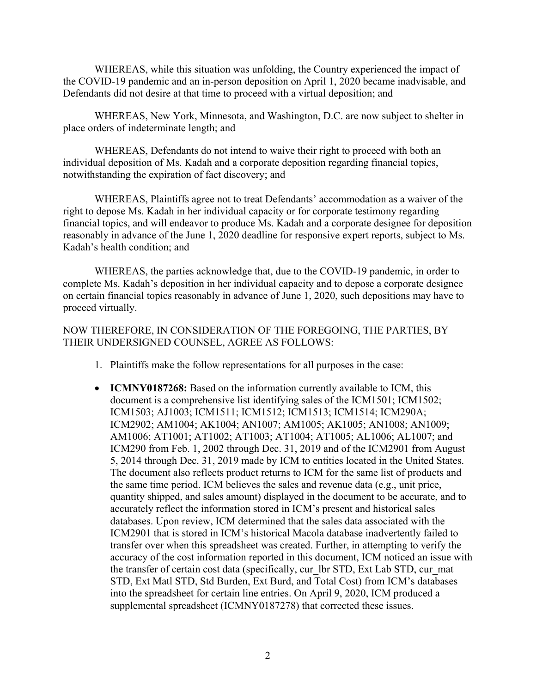WHEREAS, while this situation was unfolding, the Country experienced the impact of the COVID-19 pandemic and an in-person deposition on April 1, 2020 became inadvisable, and Defendants did not desire at that time to proceed with a virtual deposition; and

WHEREAS, New York, Minnesota, and Washington, D.C. are now subject to shelter in place orders of indeterminate length; and

WHEREAS, Defendants do not intend to waive their right to proceed with both an individual deposition of Ms. Kadah and a corporate deposition regarding financial topics, notwithstanding the expiration of fact discovery; and

WHEREAS, Plaintiffs agree not to treat Defendants' accommodation as a waiver of the right to depose Ms. Kadah in her individual capacity or for corporate testimony regarding financial topics, and will endeavor to produce Ms. Kadah and a corporate designee for deposition reasonably in advance of the June 1, 2020 deadline for responsive expert reports, subject to Ms. Kadah's health condition; and

 WHEREAS, the parties acknowledge that, due to the COVID-19 pandemic, in order to complete Ms. Kadah's deposition in her individual capacity and to depose a corporate designee on certain financial topics reasonably in advance of June 1, 2020, such depositions may have to proceed virtually.

NOW THEREFORE, IN CONSIDERATION OF THE FOREGOING, THE PARTIES, BY THEIR UNDERSIGNED COUNSEL, AGREE AS FOLLOWS:

- 1. Plaintiffs make the follow representations for all purposes in the case:
- **ICMNY0187268:** Based on the information currently available to ICM, this document is a comprehensive list identifying sales of the ICM1501; ICM1502; ICM1503; AJ1003; ICM1511; ICM1512; ICM1513; ICM1514; ICM290A; ICM2902; AM1004; AK1004; AN1007; AM1005; AK1005; AN1008; AN1009; AM1006; AT1001; AT1002; AT1003; AT1004; AT1005; AL1006; AL1007; and ICM290 from Feb. 1, 2002 through Dec. 31, 2019 and of the ICM2901 from August 5, 2014 through Dec. 31, 2019 made by ICM to entities located in the United States. The document also reflects product returns to ICM for the same list of products and the same time period. ICM believes the sales and revenue data (e.g., unit price, quantity shipped, and sales amount) displayed in the document to be accurate, and to accurately reflect the information stored in ICM's present and historical sales databases. Upon review, ICM determined that the sales data associated with the ICM2901 that is stored in ICM's historical Macola database inadvertently failed to transfer over when this spreadsheet was created. Further, in attempting to verify the accuracy of the cost information reported in this document, ICM noticed an issue with the transfer of certain cost data (specifically, cur\_lbr STD, Ext Lab STD, cur\_mat STD, Ext Matl STD, Std Burden, Ext Burd, and Total Cost) from ICM's databases into the spreadsheet for certain line entries. On April 9, 2020, ICM produced a supplemental spreadsheet (ICMNY0187278) that corrected these issues.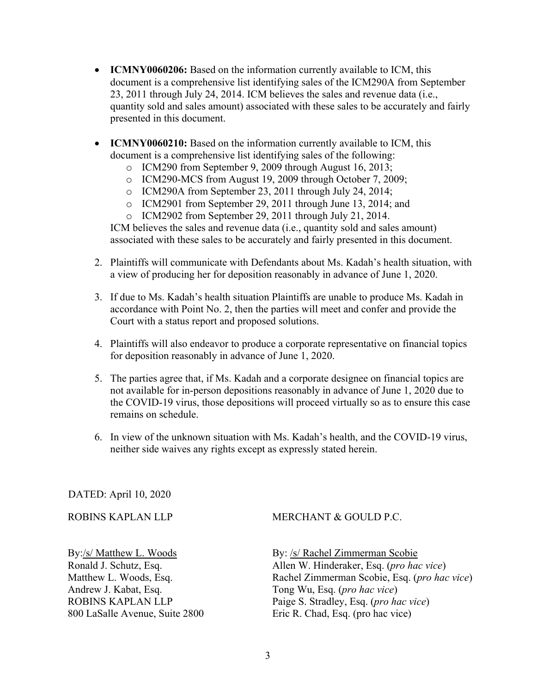- **ICMNY0060206:** Based on the information currently available to ICM, this document is a comprehensive list identifying sales of the ICM290A from September 23, 2011 through July 24, 2014. ICM believes the sales and revenue data (i.e., quantity sold and sales amount) associated with these sales to be accurately and fairly presented in this document.
- **ICMNY0060210:** Based on the information currently available to ICM, this document is a comprehensive list identifying sales of the following:
	- o ICM290 from September 9, 2009 through August 16, 2013;
	- o ICM290-MCS from August 19, 2009 through October 7, 2009;
	- o ICM290A from September 23, 2011 through July 24, 2014;
	- o ICM2901 from September 29, 2011 through June 13, 2014; and
	- o ICM2902 from September 29, 2011 through July 21, 2014.

ICM believes the sales and revenue data (i.e., quantity sold and sales amount) associated with these sales to be accurately and fairly presented in this document.

- 2. Plaintiffs will communicate with Defendants about Ms. Kadah's health situation, with a view of producing her for deposition reasonably in advance of June 1, 2020.
- 3. If due to Ms. Kadah's health situation Plaintiffs are unable to produce Ms. Kadah in accordance with Point No. 2, then the parties will meet and confer and provide the Court with a status report and proposed solutions.
- 4. Plaintiffs will also endeavor to produce a corporate representative on financial topics for deposition reasonably in advance of June 1, 2020.
- 5. The parties agree that, if Ms. Kadah and a corporate designee on financial topics are not available for in-person depositions reasonably in advance of June 1, 2020 due to the COVID-19 virus, those depositions will proceed virtually so as to ensure this case remains on schedule.
- 6. In view of the unknown situation with Ms. Kadah's health, and the COVID-19 virus, neither side waives any rights except as expressly stated herein.

## DATED: April 10, 2020

## ROBINS KAPLAN LLP

MERCHANT & GOULD P.C.

By:/s/ Matthew L. Woods Ronald J. Schutz, Esq. Matthew L. Woods, Esq. Andrew J. Kabat, Esq. ROBINS KAPLAN LLP 800 LaSalle Avenue, Suite 2800 By: /s/ Rachel Zimmerman Scobie Allen W. Hinderaker, Esq. (*pro hac vice*) Rachel Zimmerman Scobie, Esq. (*pro hac vice*) Tong Wu, Esq. (*pro hac vice*) Paige S. Stradley, Esq. (*pro hac vice*) Eric R. Chad, Esq. (pro hac vice)